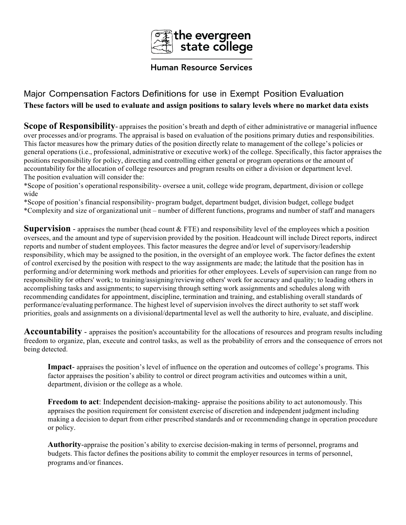

## **Human Resource Services**

## Major Compensation Factors Definitions for use in Exempt Position Evaluation **These factors will be used to evaluate and assign positions to salary levels where no market data exists**

**Scope of Responsibility**- appraises the position's breath and depth of either administrative or managerial influence over processes and/or programs. The appraisal is based on evaluation of the positions primary duties and responsibilities. This factor measures how the primary duties of the position directly relate to management of the college's policies or general operations (i.e., professional, administrative or executive work) of the college. Specifically, this factor appraises the positions responsibility for policy, directing and controlling either general or program operations or the amount of accountability for the allocation of college resources and program results on either a division or department level. The position evaluation will consider the:

\*Scope of position's operational responsibility- oversee a unit, college wide program, department, division or college wide

\*Scope of position's financial responsibility- program budget, department budget, division budget, college budget \*Complexity and size of organizational unit – number of different functions, programs and number of staff and managers

**Supervision** - appraises the number (head count & FTE) and responsibility level of the employees which a position oversees, and the amount and type of supervision provided by the position. Headcount will include Direct reports, indirect reports and number of student employees. This factor measures the degree and/or level of supervisory/leadership responsibility, which may be assigned to the position, in the oversight of an employee work. The factor defines the extent of control exercised by the position with respect to the way assignments are made; the latitude that the position has in performing and/or determining work methods and priorities for other employees. Levels of supervision can range from no responsibility for others' work; to training/assigning/reviewing others' work for accuracy and quality; to leading others in accomplishing tasks and assignments; to supervising through setting work assignments and schedules along with recommending candidates for appointment, discipline, termination and training, and establishing overall standards of performance/evaluating performance. The highest level of supervision involves the direct authority to set staff work priorities, goals and assignments on a divisional/departmental level as well the authority to hire, evaluate, and discipline.

**Accountability** - appraises the position's accountability for the allocations of resources and program results including freedom to organize, plan, execute and control tasks, as well as the probability of errors and the consequence of errors not being detected.

**Impact**- appraises the position's level of influence on the operation and outcomes of college's programs. This factor appraises the position's ability to control or direct program activities and outcomes within a unit, department, division or the college as a whole.

**Freedom to act**: Independent decision-making- appraise the positions ability to act autonomously. This appraises the position requirement for consistent exercise of discretion and independent judgment including making a decision to depart from either prescribed standards and or recommending change in operation procedure or policy.

**Authority**-appraise the position's ability to exercise decision-making in terms of personnel, programs and budgets. This factor defines the positions ability to commit the employer resources in terms of personnel, programs and/or finances.